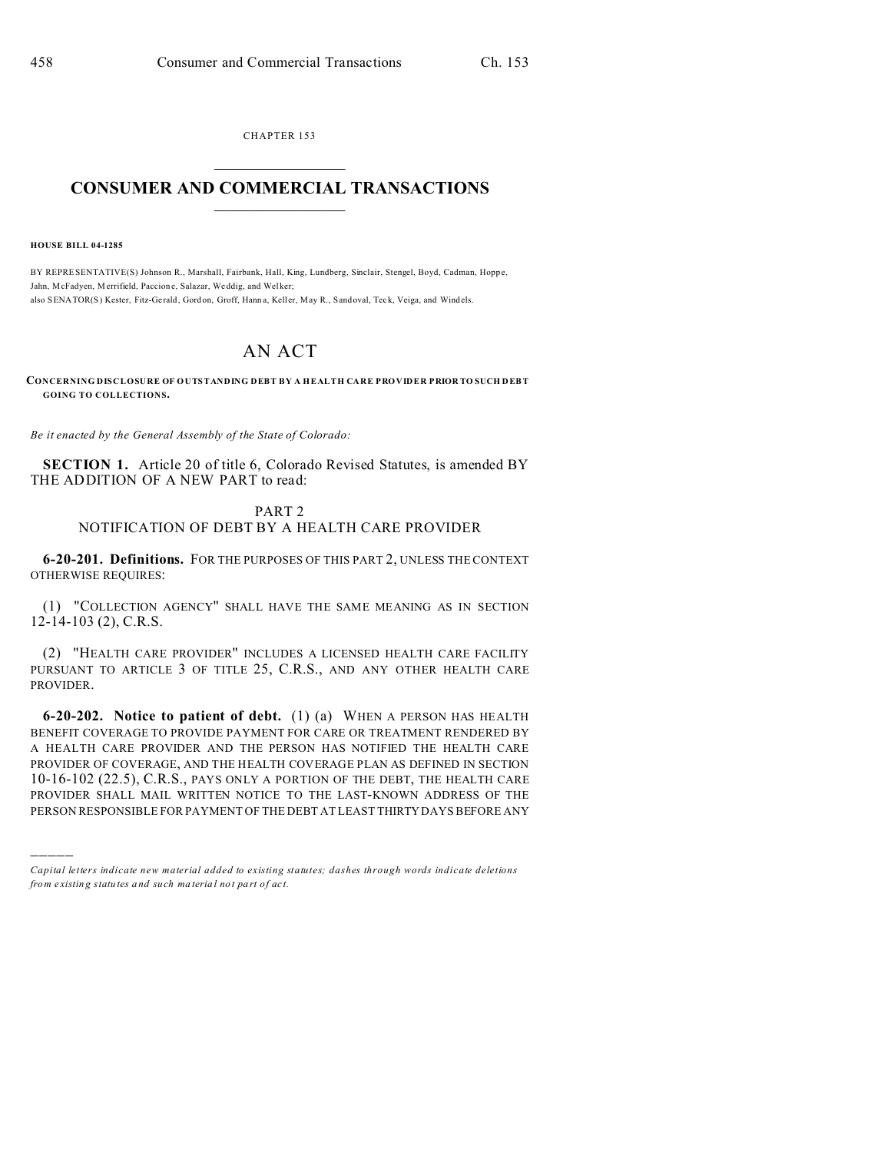CHAPTER 153

## **CONSUMER AND COMMERCIAL TRANSACTIONS**

**HOUSE BILL 04-1285** 

BY REPRESENTATIVE(S) Johnson R., Marshall, Fairbank, Hall, King, Lundberg, Sinclair, Stengel, Boyd, Cadman, Hoppe, Jahn, McFadyen, Merrifield, Paccione, Salazar, Weddig, and Welker; also SENATOR(S) Kester, Fitz-Gerald, Gordon, Groff, Hanna, Keller, May R., Sandoval, Teck, Veiga, and Windels.

## AN ACT

CONCERNING DISCLOSURE OF OUTSTANDING DEBT BY A HEALTH CARE PROVIDER PRIOR TO SUCH DEBT **GOING TO COLLECTIONS.** 

Be it enacted by the General Assembly of the State of Colorado:

SECTION 1. Article 20 of title 6, Colorado Revised Statutes, is amended BY THE ADDITION OF A NEW PART to read:

## PART<sub>2</sub> NOTIFICATION OF DEBT BY A HEALTH CARE PROVIDER

6-20-201. Definitions. FOR THE PURPOSES OF THIS PART 2, UNLESS THE CONTEXT **OTHERWISE REQUIRES:** 

(1) "COLLECTION AGENCY" SHALL HAVE THE SAME MEANING AS IN SECTION  $12-14-103(2)$ , C.R.S.

(2) "HEALTH CARE PROVIDER" INCLUDES A LICENSED HEALTH CARE FACILITY PURSUANT TO ARTICLE 3 OF TITLE 25, C.R.S., AND ANY OTHER HEALTH CARE PROVIDER.

6-20-202. Notice to patient of debt.  $(1)$  (a) WHEN A PERSON HAS HEALTH BENEFIT COVERAGE TO PROVIDE PAYMENT FOR CARE OR TREATMENT RENDERED BY A HEALTH CARE PROVIDER AND THE PERSON HAS NOTIFIED THE HEALTH CARE PROVIDER OF COVERAGE, AND THE HEALTH COVERAGE PLAN AS DEFINED IN SECTION 10-16-102 (22.5), C.R.S., PAYS ONLY A PORTION OF THE DEBT, THE HEALTH CARE PROVIDER SHALL MAIL WRITTEN NOTICE TO THE LAST-KNOWN ADDRESS OF THE PERSON RESPONSIBLE FOR PAYMENT OF THE DEBT AT LEAST THIRTY DAYS BEFORE ANY

Capital letters indicate new material added to existing statutes; dashes through words indicate deletions from existing statutes and such material not part of act.